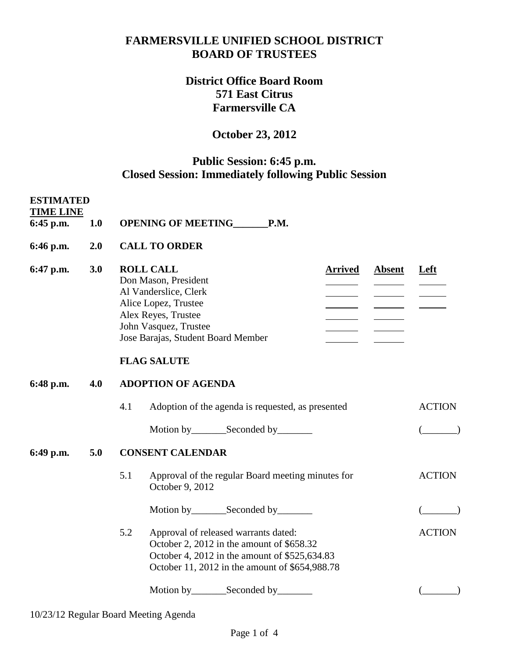#### **FARMERSVILLE UNIFIED SCHOOL DISTRICT BOARD OF TRUSTEES**

## **District Office Board Room 571 East Citrus Farmersville CA**

# **October 23, 2012**

### **Public Session: 6:45 p.m. Closed Session: Immediately following Public Session**

| <b>ESTIMATED</b><br><b>TIME LINE</b> |     |                                                                                                                                                                                                                                                                                                                                                                                                                                                                                  |               |  |  |  |
|--------------------------------------|-----|----------------------------------------------------------------------------------------------------------------------------------------------------------------------------------------------------------------------------------------------------------------------------------------------------------------------------------------------------------------------------------------------------------------------------------------------------------------------------------|---------------|--|--|--|
| 6:45 p.m.                            | 1.0 | OPENING OF MEETING_______P.M.                                                                                                                                                                                                                                                                                                                                                                                                                                                    |               |  |  |  |
| 6:46 p.m.                            | 2.0 | <b>CALL TO ORDER</b>                                                                                                                                                                                                                                                                                                                                                                                                                                                             |               |  |  |  |
| 6:47 p.m.                            | 3.0 | <b>ROLL CALL</b><br><b>Absent</b><br><b>Arrived</b><br>Don Mason, President<br>Al Vanderslice, Clerk<br><u>and the state of the state of the state of the state of the state of the state of the state of the state of the state of the state of the state of the state of the state of the state of the state of the state of the state</u><br>Alice Lopez, Trustee<br>Alex Reyes, Trustee<br>John Vasquez, Trustee<br>Jose Barajas, Student Board Member<br><b>FLAG SALUTE</b> | <b>Left</b>   |  |  |  |
|                                      |     |                                                                                                                                                                                                                                                                                                                                                                                                                                                                                  |               |  |  |  |
| 6:48 p.m.                            | 4.0 | <b>ADOPTION OF AGENDA</b>                                                                                                                                                                                                                                                                                                                                                                                                                                                        |               |  |  |  |
|                                      |     | 4.1<br>Adoption of the agenda is requested, as presented                                                                                                                                                                                                                                                                                                                                                                                                                         | <b>ACTION</b> |  |  |  |
|                                      |     | Motion by __________ Seconded by _________                                                                                                                                                                                                                                                                                                                                                                                                                                       |               |  |  |  |
| 6:49 p.m.                            | 5.0 | <b>CONSENT CALENDAR</b>                                                                                                                                                                                                                                                                                                                                                                                                                                                          |               |  |  |  |
|                                      |     | 5.1<br>Approval of the regular Board meeting minutes for<br>October 9, 2012                                                                                                                                                                                                                                                                                                                                                                                                      | <b>ACTION</b> |  |  |  |
|                                      |     |                                                                                                                                                                                                                                                                                                                                                                                                                                                                                  |               |  |  |  |
|                                      |     | 5.2<br>Approval of released warrants dated:<br>October 2, 2012 in the amount of \$658.32<br>October 4, 2012 in the amount of \$525,634.83<br>October 11, 2012 in the amount of \$654,988.78                                                                                                                                                                                                                                                                                      | <b>ACTION</b> |  |  |  |
|                                      |     |                                                                                                                                                                                                                                                                                                                                                                                                                                                                                  |               |  |  |  |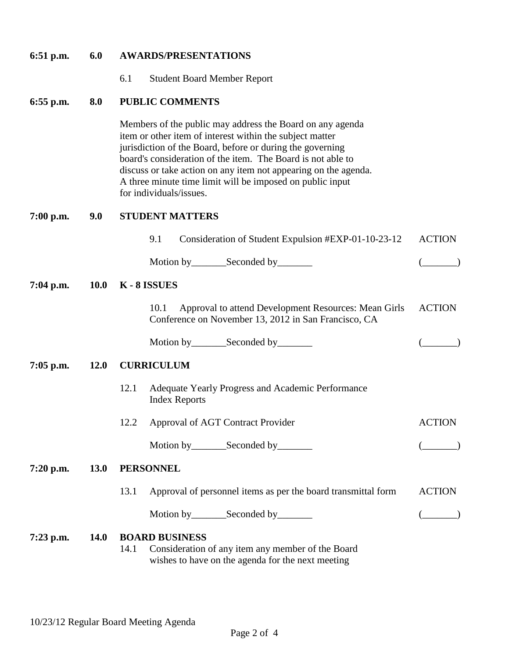| $6:51$ p.m. | 6.0         | <b>AWARDS/PRESENTATIONS</b>                                                                                                                                                                                                                                                                                                                                                                                  |               |  |  |  |  |
|-------------|-------------|--------------------------------------------------------------------------------------------------------------------------------------------------------------------------------------------------------------------------------------------------------------------------------------------------------------------------------------------------------------------------------------------------------------|---------------|--|--|--|--|
|             |             | 6.1<br><b>Student Board Member Report</b>                                                                                                                                                                                                                                                                                                                                                                    |               |  |  |  |  |
| $6:55$ p.m. | 8.0         | <b>PUBLIC COMMENTS</b>                                                                                                                                                                                                                                                                                                                                                                                       |               |  |  |  |  |
|             |             | Members of the public may address the Board on any agenda<br>item or other item of interest within the subject matter<br>jurisdiction of the Board, before or during the governing<br>board's consideration of the item. The Board is not able to<br>discuss or take action on any item not appearing on the agenda.<br>A three minute time limit will be imposed on public input<br>for individuals/issues. |               |  |  |  |  |
| $7:00$ p.m. | 9.0         | <b>STUDENT MATTERS</b>                                                                                                                                                                                                                                                                                                                                                                                       |               |  |  |  |  |
|             |             | 9.1<br>Consideration of Student Expulsion #EXP-01-10-23-12                                                                                                                                                                                                                                                                                                                                                   | <b>ACTION</b> |  |  |  |  |
|             |             |                                                                                                                                                                                                                                                                                                                                                                                                              |               |  |  |  |  |
| $7:04$ p.m. |             | 10.0 K - 8 ISSUES                                                                                                                                                                                                                                                                                                                                                                                            |               |  |  |  |  |
|             |             | Approval to attend Development Resources: Mean Girls<br>10.1<br>Conference on November 13, 2012 in San Francisco, CA                                                                                                                                                                                                                                                                                         | <b>ACTION</b> |  |  |  |  |
|             |             |                                                                                                                                                                                                                                                                                                                                                                                                              |               |  |  |  |  |
| $7:05$ p.m. | 12.0        | <b>CURRICULUM</b>                                                                                                                                                                                                                                                                                                                                                                                            |               |  |  |  |  |
|             |             | Adequate Yearly Progress and Academic Performance<br>12.1<br><b>Index Reports</b>                                                                                                                                                                                                                                                                                                                            |               |  |  |  |  |
|             |             | 12.2 Approval of AGT Contract Provider                                                                                                                                                                                                                                                                                                                                                                       | <b>ACTION</b> |  |  |  |  |
|             |             | Motion by_________Seconded by________                                                                                                                                                                                                                                                                                                                                                                        |               |  |  |  |  |
| 7:20 p.m.   | <b>13.0</b> | <b>PERSONNEL</b>                                                                                                                                                                                                                                                                                                                                                                                             |               |  |  |  |  |
|             |             | 13.1<br>Approval of personnel items as per the board transmittal form                                                                                                                                                                                                                                                                                                                                        | <b>ACTION</b> |  |  |  |  |
|             |             | Motion by __________ Seconded by _________                                                                                                                                                                                                                                                                                                                                                                   |               |  |  |  |  |
| $7:23$ p.m. | <b>14.0</b> | <b>BOARD BUSINESS</b><br>14.1<br>Consideration of any item any member of the Board<br>wishes to have on the agenda for the next meeting                                                                                                                                                                                                                                                                      |               |  |  |  |  |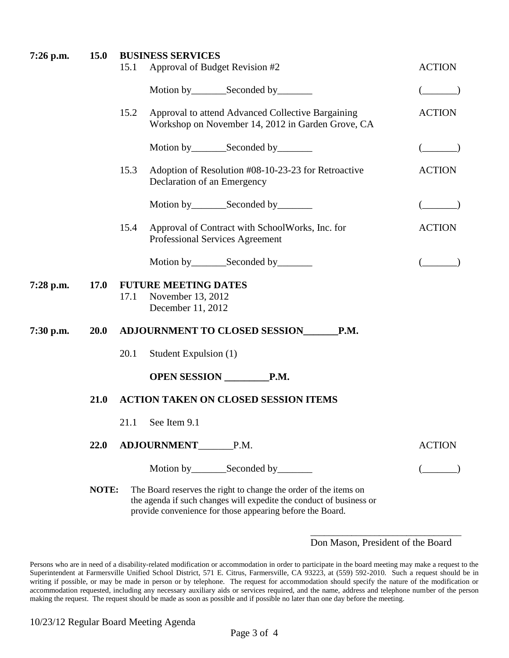| 7:26 p.m. | <b>15.0</b> | <b>BUSINESS SERVICES</b>                                                                                                                                                                             |               |  |
|-----------|-------------|------------------------------------------------------------------------------------------------------------------------------------------------------------------------------------------------------|---------------|--|
|           |             | Approval of Budget Revision #2<br>15.1                                                                                                                                                               | <b>ACTION</b> |  |
|           |             |                                                                                                                                                                                                      |               |  |
|           |             | Approval to attend Advanced Collective Bargaining<br>15.2<br>Workshop on November 14, 2012 in Garden Grove, CA                                                                                       | <b>ACTION</b> |  |
|           |             | Motion by__________Seconded by__________                                                                                                                                                             |               |  |
|           |             | Adoption of Resolution #08-10-23-23 for Retroactive<br>15.3<br>Declaration of an Emergency                                                                                                           | <b>ACTION</b> |  |
|           |             | Motion by ____________Seconded by ___________                                                                                                                                                        |               |  |
|           |             | Approval of Contract with SchoolWorks, Inc. for<br>15.4<br>Professional Services Agreement                                                                                                           | <b>ACTION</b> |  |
|           |             | Motion by_________Seconded by________                                                                                                                                                                |               |  |
| 7:28 p.m. | <b>17.0</b> | <b>FUTURE MEETING DATES</b><br>November 13, 2012<br>17.1<br>December 11, 2012                                                                                                                        |               |  |
| 7:30 p.m. | <b>20.0</b> | <b>ADJOURNMENT TO CLOSED SESSION</b><br><b>P.M.</b>                                                                                                                                                  |               |  |
|           |             | Student Expulsion (1)<br>20.1                                                                                                                                                                        |               |  |
|           |             | OPEN SESSION P.M.                                                                                                                                                                                    |               |  |
|           | 21.0        | <b>ACTION TAKEN ON CLOSED SESSION ITEMS</b>                                                                                                                                                          |               |  |
|           |             | 21.1 See Item 9.1                                                                                                                                                                                    |               |  |
|           | 22.0        | <b>ADJOURNMENT</b><br>P.M.                                                                                                                                                                           | <b>ACTION</b> |  |
|           |             |                                                                                                                                                                                                      |               |  |
|           | NOTE:       | The Board reserves the right to change the order of the items on<br>the agenda if such changes will expedite the conduct of business or<br>provide convenience for those appearing before the Board. |               |  |

#### \_\_\_\_\_\_\_\_\_\_\_\_\_\_\_\_\_\_\_\_\_\_\_\_\_\_\_\_\_\_\_\_\_ Don Mason, President of the Board

Persons who are in need of a disability-related modification or accommodation in order to participate in the board meeting may make a request to the Superintendent at Farmersville Unified School District, 571 E. Citrus, Farmersville, CA 93223, at (559) 592-2010. Such a request should be in writing if possible, or may be made in person or by telephone. The request for accommodation should specify the nature of the modification or accommodation requested, including any necessary auxiliary aids or services required, and the name, address and telephone number of the person making the request. The request should be made as soon as possible and if possible no later than one day before the meeting.